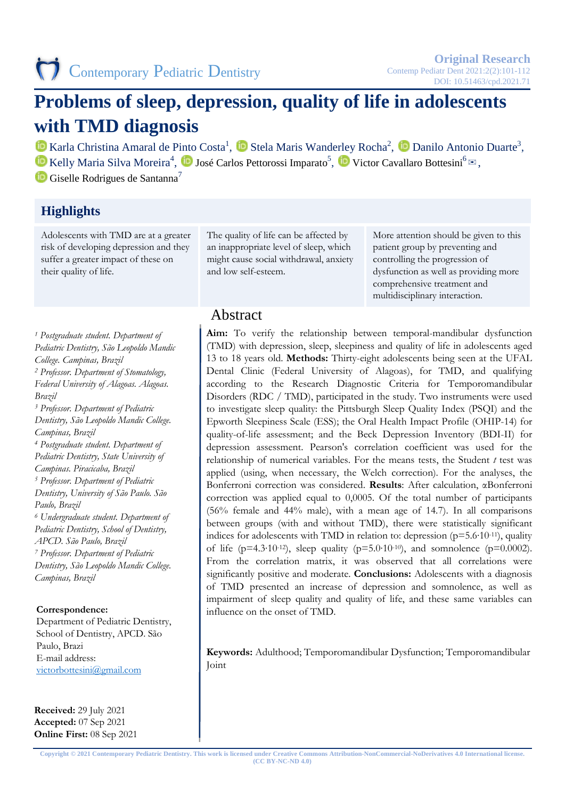# **Problems of sleep, depression, quality of life in adolescents with TMD diagnosis**

Karla Christina Amaral de Pinto Costa<sup>1</sup>, **D** Stela Maris Wanderley Rocha<sup>2</sup>, **D** Danilo Antonio Duarte<sup>3</sup>, Kelly Maria Silva Moreira<sup>4</sup>, **D** José Carlos Pettorossi Imparato<sup>5</sup>, D Victor Cavallaro Bottesini<sup>6</sup>  $\approx$ ,

 $\bullet$  Giselle Rodrigues de Santanna<sup>7</sup>

# **Highlights**

Adolescents with TMD are at a greater risk of developing depression and they suffer a greater impact of these on their quality of life.

The quality of life can be affected by an inappropriate level of sleep, which might cause social withdrawal, anxiety and low self-esteem.

More attention should be given to this patient group by preventing and controlling the progression of dysfunction as well as providing more comprehensive treatment and multidisciplinary interaction.

**Aim:** To verify the relationship between temporal-mandibular dysfunction (TMD) with depression, sleep, sleepiness and quality of life in adolescents aged 13 to 18 years old. **Methods:** Thirty-eight adolescents being seen at the UFAL Dental Clinic (Federal University of Alagoas), for TMD, and qualifying according to the Research Diagnostic Criteria for Temporomandibular Disorders (RDC / TMD), participated in the study. Two instruments were used to investigate sleep quality: the Pittsburgh Sleep Quality Index (PSQI) and the Epworth Sleepiness Scale (ESS); the Oral Health Impact Profile (OHIP-14) for quality-of-life assessment; and the Beck Depression Inventory (BDI-II) for depression assessment. Pearson's correlation coefficient was used for the relationship of numerical variables. For the means tests, the Student *t* test was applied (using, when necessary, the Welch correction). For the analyses, the Bonferroni correction was considered. **Results**: After calculation, αBonferroni correction was applied equal to 0,0005. Of the total number of participants (56% female and 44% male), with a mean age of 14.7). In all comparisons between groups (with and without TMD), there were statistically significant indices for adolescents with TMD in relation to: depression ( $p=5.6$ <sup>-10-11</sup>), quality of life (p=4.3⋅10⋅12), sleep quality (p=5.0⋅10⋅10), and somnolence (p=0.0002). From the correlation matrix, it was observed that all correlations were significantly positive and moderate. **Conclusions:** Adolescents with a diagnosis of TMD presented an increase of depression and somnolence, as well as impairment of sleep quality and quality of life, and these same variables can

**Keywords:** Adulthood; Temporomandibular Dysfunction; Temporomandibular

# Abstract

*<sup>1</sup> Postgraduate student. Department of Pediatric Dentistry, São Leopoldo Mandic College. Campinas, Brazil <sup>2</sup> Professor. Department of Stomatology, Federal University of Alagoas. Alagoas. Brazil <sup>3</sup> Professor. Department of Pediatric Dentistry, São Leopoldo Mandic College. Campinas, Brazil <sup>4</sup> Postgraduate student. Department of Pediatric Dentistry, State University of Campinas. Piracicaba, Brazil <sup>5</sup> Professor. Department of Pediatric Dentistry, University of São Paulo. São Paulo, Brazil <sup>6</sup> Undergraduate student. Department of Pediatric Dentistry, School of Dentistry, APCD. São Paulo, Brazil <sup>7</sup> Professor. Department of Pediatric Dentistry, São Leopoldo Mandic College. Campinas, Brazil*

#### **Correspondence:**

Department of Pediatric Dentistry, School of Dentistry, APCD. São Paulo, Brazi E-mail address: [victorbottesini@gmail.com](mailto:victorbottesini@gmail.com)

**Received:** 29 July 2021 **Accepted:** 07 Sep 2021 **Online First:** 08 Sep 2021

**Copyright © 2021 Contemporary Pediatric Dentistry. This work is licensed under Creative Commons Attribution-NonCommercial-NoDerivatives 4.0 International license. (CC BY-NC-ND 4.0)**

influence on the onset of TMD.

Joint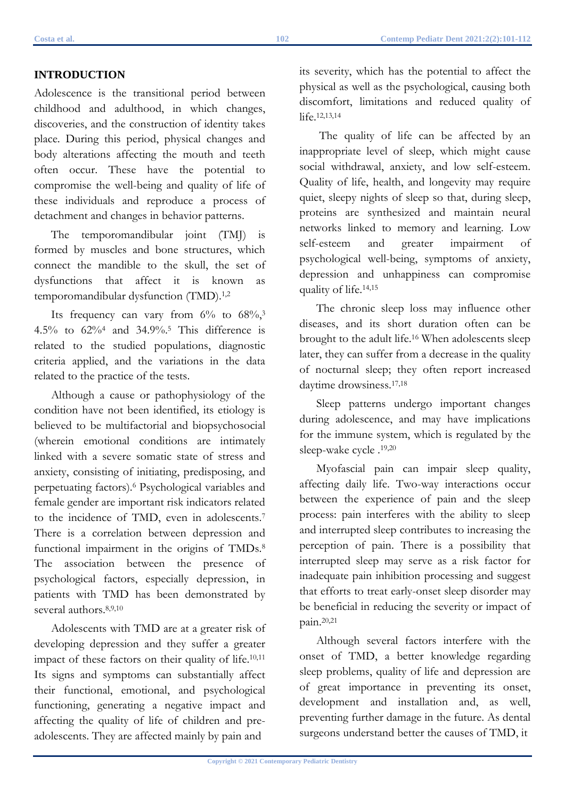# **INTRODUCTION**

Adolescence is the transitional period between childhood and adulthood, in which changes, discoveries, and the construction of identity takes place. During this period, physical changes and body alterations affecting the mouth and teeth often occur. These have the potential to compromise the well-being and quality of life of these individuals and reproduce a process of detachment and changes in behavior patterns.

The temporomandibular joint (TMJ) is formed by muscles and bone structures, which connect the mandible to the skull, the set of dysfunctions that affect it is known as temporomandibular dysfunction (TMD).<sup>1,2</sup>

Its frequency can vary from  $6\%$  to  $68\%$ ,<sup>3</sup> 4.5% to 62%4 and 34.9%.5 This difference is related to the studied populations, diagnostic criteria applied, and the variations in the data related to the practice of the tests.

Although a cause or pathophysiology of the condition have not been identified, its etiology is believed to be multifactorial and biopsychosocial (wherein emotional conditions are intimately linked with a severe somatic state of stress and anxiety, consisting of initiating, predisposing, and perpetuating factors).6 Psychological variables and female gender are important risk indicators related to the incidence of TMD, even in adolescents.7 There is a correlation between depression and functional impairment in the origins of TMDs.<sup>8</sup> The association between the presence of psychological factors, especially depression, in patients with TMD has been demonstrated by several authors.8,9,10

Adolescents with TMD are at a greater risk of developing depression and they suffer a greater impact of these factors on their quality of life.<sup>10,11</sup> Its signs and symptoms can substantially affect their functional, emotional, and psychological functioning, generating a negative impact and affecting the quality of life of children and preadolescents. They are affected mainly by pain and

its severity, which has the potential to affect the physical as well as the psychological, causing both discomfort, limitations and reduced quality of life.12,13,14

The quality of life can be affected by an inappropriate level of sleep, which might cause social withdrawal, anxiety, and low self-esteem. Quality of life, health, and longevity may require quiet, sleepy nights of sleep so that, during sleep, proteins are synthesized and maintain neural networks linked to memory and learning. Low self-esteem and greater impairment of psychological well-being, symptoms of anxiety, depression and unhappiness can compromise quality of life.14,15

The chronic sleep loss may influence other diseases, and its short duration often can be brought to the adult life.16 When adolescents sleep later, they can suffer from a decrease in the quality of nocturnal sleep; they often report increased daytime drowsiness.17,18

Sleep patterns undergo important changes during adolescence, and may have implications for the immune system, which is regulated by the sleep-wake cycle .19,20

Myofascial pain can impair sleep quality, affecting daily life. Two-way interactions occur between the experience of pain and the sleep process: pain interferes with the ability to sleep and interrupted sleep contributes to increasing the perception of pain. There is a possibility that interrupted sleep may serve as a risk factor for inadequate pain inhibition processing and suggest that efforts to treat early-onset sleep disorder may be beneficial in reducing the severity or impact of pain.20,21

Although several factors interfere with the onset of TMD, a better knowledge regarding sleep problems, quality of life and depression are of great importance in preventing its onset, development and installation and, as well, preventing further damage in the future. As dental surgeons understand better the causes of TMD, it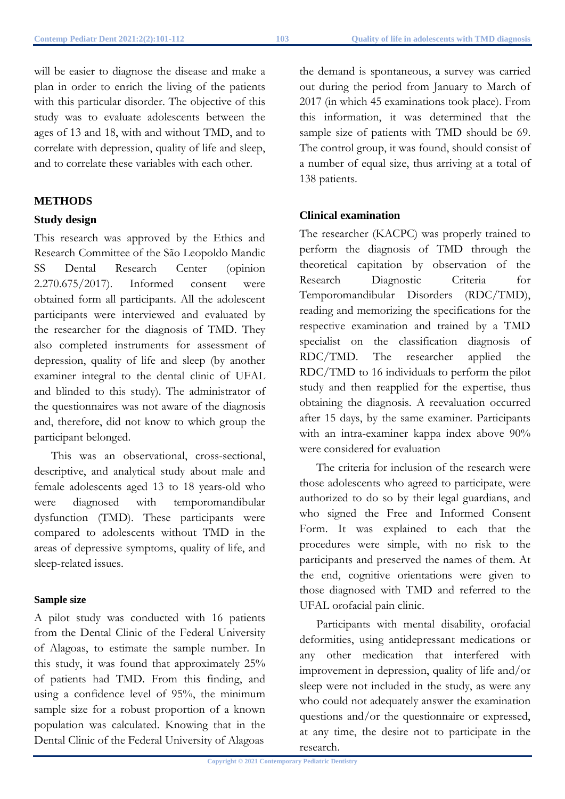will be easier to diagnose the disease and make a plan in order to enrich the living of the patients with this particular disorder. The objective of this study was to evaluate adolescents between the ages of 13 and 18, with and without TMD, and to correlate with depression, quality of life and sleep, and to correlate these variables with each other.

# **METHODS**

#### **Study design**

This research was approved by the Ethics and Research Committee of the São Leopoldo Mandic SS Dental Research Center (opinion 2.270.675/2017). Informed consent were obtained form all participants. All the adolescent participants were interviewed and evaluated by the researcher for the diagnosis of TMD. They also completed instruments for assessment of depression, quality of life and sleep (by another examiner integral to the dental clinic of UFAL and blinded to this study). The administrator of the questionnaires was not aware of the diagnosis and, therefore, did not know to which group the participant belonged.

This was an observational, cross-sectional, descriptive, and analytical study about male and female adolescents aged 13 to 18 years-old who were diagnosed with temporomandibular dysfunction (TMD). These participants were compared to adolescents without TMD in the areas of depressive symptoms, quality of life, and sleep-related issues.

#### **Sample size**

A pilot study was conducted with 16 patients from the Dental Clinic of the Federal University of Alagoas, to estimate the sample number. In this study, it was found that approximately 25% of patients had TMD. From this finding, and using a confidence level of 95%, the minimum sample size for a robust proportion of a known population was calculated. Knowing that in the Dental Clinic of the Federal University of Alagoas

the demand is spontaneous, a survey was carried out during the period from January to March of 2017 (in which 45 examinations took place). From this information, it was determined that the sample size of patients with TMD should be 69. The control group, it was found, should consist of a number of equal size, thus arriving at a total of 138 patients.

### **Clinical examination**

The researcher (KACPC) was properly trained to perform the diagnosis of TMD through the theoretical capitation by observation of the Research Diagnostic Criteria for Temporomandibular Disorders (RDC/TMD), reading and memorizing the specifications for the respective examination and trained by a TMD specialist on the classification diagnosis of RDC/TMD. The researcher applied the RDC/TMD to 16 individuals to perform the pilot study and then reapplied for the expertise, thus obtaining the diagnosis. A reevaluation occurred after 15 days, by the same examiner. Participants with an intra-examiner kappa index above 90% were considered for evaluation

The criteria for inclusion of the research were those adolescents who agreed to participate, were authorized to do so by their legal guardians, and who signed the Free and Informed Consent Form. It was explained to each that the procedures were simple, with no risk to the participants and preserved the names of them. At the end, cognitive orientations were given to those diagnosed with TMD and referred to the UFAL orofacial pain clinic.

Participants with mental disability, orofacial deformities, using antidepressant medications or any other medication that interfered with improvement in depression, quality of life and/or sleep were not included in the study, as were any who could not adequately answer the examination questions and/or the questionnaire or expressed, at any time, the desire not to participate in the research.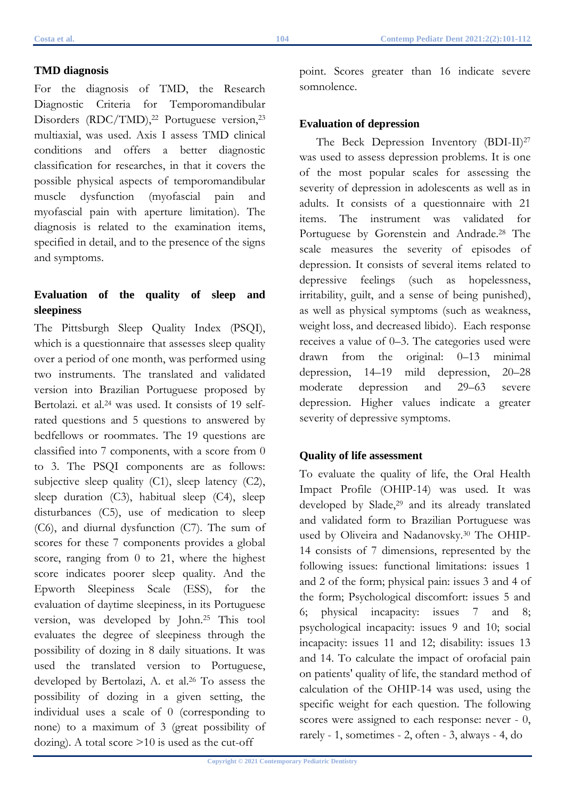For the diagnosis of TMD, the Research Diagnostic Criteria for Temporomandibular Disorders (RDC/TMD),<sup>22</sup> Portuguese version,<sup>23</sup> multiaxial, was used. Axis I assess TMD clinical conditions and offers a better diagnostic classification for researches, in that it covers the possible physical aspects of temporomandibular muscle dysfunction (myofascial pain and myofascial pain with aperture limitation). The diagnosis is related to the examination items, specified in detail, and to the presence of the signs and symptoms.

# **Evaluation of the quality of sleep and sleepiness**

The Pittsburgh Sleep Quality Index (PSQI), which is a questionnaire that assesses sleep quality over a period of one month, was performed using two instruments. The translated and validated version into Brazilian Portuguese proposed by Bertolazi. et al.<sup>24</sup> was used. It consists of 19 selfrated questions and 5 questions to answered by bedfellows or roommates. The 19 questions are classified into 7 components, with a score from 0 to 3. The PSQI components are as follows: subjective sleep quality (C1), sleep latency (C2), sleep duration (C3), habitual sleep (C4), sleep disturbances (C5), use of medication to sleep (C6), and diurnal dysfunction (C7). The sum of scores for these 7 components provides a global score, ranging from 0 to 21, where the highest score indicates poorer sleep quality. And the Epworth Sleepiness Scale (ESS), for the evaluation of daytime sleepiness, in its Portuguese version, was developed by John.25 This tool evaluates the degree of sleepiness through the possibility of dozing in 8 daily situations. It was used the translated version to Portuguese, developed by Bertolazi, A. et al.<sup>26</sup> To assess the possibility of dozing in a given setting, the individual uses a scale of 0 (corresponding to none) to a maximum of 3 (great possibility of dozing). A total score >10 is used as the cut-off

point. Scores greater than 16 indicate severe somnolence.

# **Evaluation of depression**

The Beck Depression Inventory (BDI-II)<sup>27</sup> was used to assess depression problems. It is one of the most popular scales for assessing the severity of depression in adolescents as well as in adults. It consists of a questionnaire with 21 items. The instrument was validated for Portuguese by Gorenstein and Andrade.<sup>28</sup> The scale measures the severity of episodes of depression. It consists of several items related to depressive feelings (such as hopelessness, irritability, guilt, and a sense of being punished), as well as physical symptoms (such as weakness, weight loss, and decreased libido). Each response receives a value of 0–3. The categories used were drawn from the original: 0–13 minimal depression, 14–19 mild depression, 20–28 moderate depression and 29–63 severe depression. Higher values indicate a greater severity of depressive symptoms.

# **Quality of life assessment**

To evaluate the quality of life, the Oral Health Impact Profile (OHIP-14) was used. It was developed by Slade,<sup>29</sup> and its already translated and validated form to Brazilian Portuguese was used by Oliveira and Nadanovsky.30 The OHIP-14 consists of 7 dimensions, represented by the following issues: functional limitations: issues 1 and 2 of the form; physical pain: issues 3 and 4 of the form; Psychological discomfort: issues 5 and 6; physical incapacity: issues 7 and 8; psychological incapacity: issues 9 and 10; social incapacity: issues 11 and 12; disability: issues 13 and 14. To calculate the impact of orofacial pain on patients' quality of life, the standard method of calculation of the OHIP-14 was used, using the specific weight for each question. The following scores were assigned to each response: never - 0, rarely - 1, sometimes - 2, often - 3, always - 4, do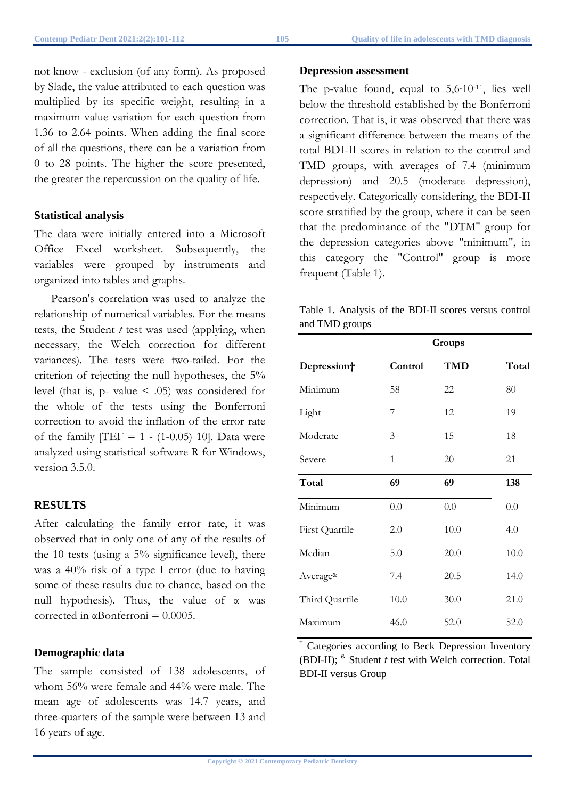not know - exclusion (of any form). As proposed by Slade, the value attributed to each question was multiplied by its specific weight, resulting in a maximum value variation for each question from 1.36 to 2.64 points. When adding the final score of all the questions, there can be a variation from 0 to 28 points. The higher the score presented, the greater the repercussion on the quality of life.

# **Statistical analysis**

The data were initially entered into a Microsoft Office Excel worksheet. Subsequently, the variables were grouped by instruments and organized into tables and graphs.

Pearson's correlation was used to analyze the relationship of numerical variables. For the means tests, the Student *t* test was used (applying, when necessary, the Welch correction for different variances). The tests were two-tailed. For the criterion of rejecting the null hypotheses, the 5% level (that is,  $p$ - value  $\leq$  .05) was considered for the whole of the tests using the Bonferroni correction to avoid the inflation of the error rate of the family  $[TEF = 1 - (1-0.05) 10]$ . Data were analyzed using statistical software R for Windows, version 3.5.0.

# **RESULTS**

After calculating the family error rate, it was observed that in only one of any of the results of the 10 tests (using a 5% significance level), there was a 40% risk of a type I error (due to having some of these results due to chance, based on the null hypothesis). Thus, the value of  $\alpha$  was corrected in  $\alpha$ Bonferroni = 0.0005.

# **Demographic data**

The sample consisted of 138 adolescents, of whom 56% were female and 44% were male. The mean age of adolescents was 14.7 years, and three-quarters of the sample were between 13 and 16 years of age.

#### **Depression assessment**

The p-value found, equal to 5,6∙10-11, lies well below the threshold established by the Bonferroni correction. That is, it was observed that there was a significant difference between the means of the total BDI-II scores in relation to the control and TMD groups, with averages of 7.4 (minimum depression) and 20.5 (moderate depression), respectively. Categorically considering, the BDI-II score stratified by the group, where it can be seen that the predominance of the "DTM" group for the depression categories above "minimum", in this category the "Control" group is more frequent (Table 1).

Table 1. Analysis of the BDI-II scores versus control and TMD groups

|                          | Groups  |            |       |
|--------------------------|---------|------------|-------|
| Depression+              | Control | <b>TMD</b> | Total |
| Minimum                  | 58      | 22         | 80    |
| Light                    | 7       | 12         | 19    |
| Moderate                 | 3       | 15         | 18    |
| Severe                   | 1       | 20         | 21    |
| Total                    | 69      | 69         | 138   |
| Minimum                  | 0.0     | 0.0        | 0.0   |
| First Quartile           | 2.0     | 10.0       | 4.0   |
| Median                   | 5.0     | 20.0       | 10.0  |
| Average <sup>&amp;</sup> | 7.4     | 20.5       | 14.0  |
| Third Quartile           | 10.0    | 30.0       | 21.0  |
| Maximum                  | 46.0    | 52.0       | 52.0  |

Categories according to Beck Depression Inventory (BDI-II); & Student *t* test with Welch correction. Total BDI-II versus Group

**Copyright © 2021 Contemporary Pediatric Dentistry**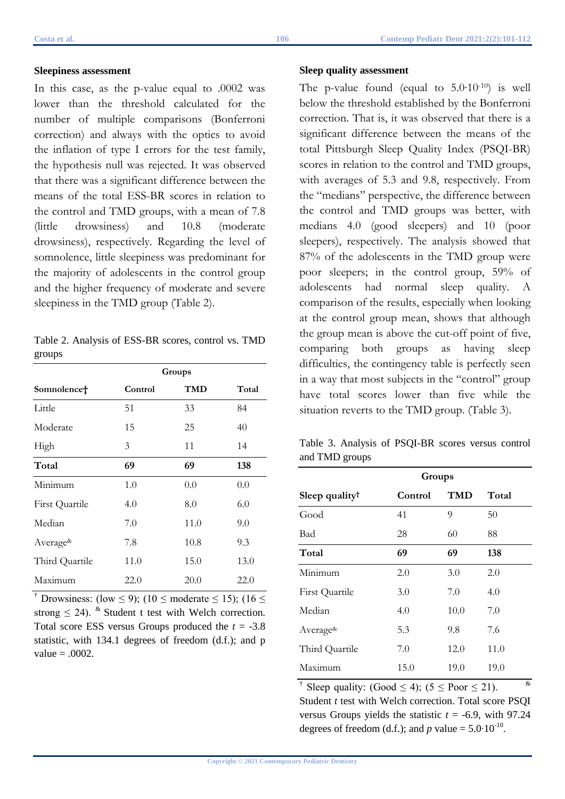In this case, as the p-value equal to .0002 was lower than the threshold calculated for the number of multiple comparisons (Bonferroni correction) and always with the optics to avoid the inflation of type I errors for the test family, the hypothesis null was rejected. It was observed that there was a significant difference between the means of the total ESS-BR scores in relation to the control and TMD groups, with a mean of 7.8 (little drowsiness) and 10.8 (moderate drowsiness), respectively. Regarding the level of somnolence, little sleepiness was predominant for the majority of adolescents in the control group and the higher frequency of moderate and severe sleepiness in the TMD group (Table 2).

Table 2. Analysis of ESS-BR scores, control vs. TMD groups

|                          | Groups  |      |       |
|--------------------------|---------|------|-------|
| Somnolence†              | Control | TMD  | Total |
| Little                   | 51      | 33   | 84    |
| Moderate                 | 15      | 25   | 40    |
| High                     | 3       | 11   | 14    |
| Total                    | 69      | 69   | 138   |
| Minimum                  | 1.0     | 0.0  | 0.0   |
| <b>First Quartile</b>    | 4.0     | 8.0  | 6.0   |
| Median                   | 7.0     | 11.0 | 9.0   |
| Average <sup>&amp;</sup> | 7.8     | 10.8 | 9.3   |
| Third Quartile           | 11.0    | 15.0 | 13.0  |
| Maximum                  | 22.0    | 20.0 | 22.0  |

<sup>†</sup> Drowsiness: (low  $\leq$  9); (10  $\leq$  moderate  $\leq$  15); (16  $\leq$ strong  $\leq$  24). <sup>&</sup> Student t test with Welch correction. Total score ESS versus Groups produced the  $t = -3.8$ statistic, with 134.1 degrees of freedom (d.f.); and p value  $= .0002$ .

#### **Sleep quality assessment**

The p-value found (equal to 5.0∙10-10) is well below the threshold established by the Bonferroni correction. That is, it was observed that there is a significant difference between the means of the total Pittsburgh Sleep Quality Index (PSQI-BR) scores in relation to the control and TMD groups, with averages of 5.3 and 9.8, respectively. From the "medians" perspective, the difference between the control and TMD groups was better, with medians 4.0 (good sleepers) and 10 (poor sleepers), respectively. The analysis showed that 87% of the adolescents in the TMD group were poor sleepers; in the control group, 59% of adolescents had normal sleep quality. A comparison of the results, especially when looking at the control group mean, shows that although the group mean is above the cut-off point of five, comparing both groups as having sleep difficulties, the contingency table is perfectly seen in a way that most subjects in the "control" group have total scores lower than five while the situation reverts to the TMD group. (Table 3).

Table 3. Analysis of PSQI-BR scores versus control and TMD groups

|                            | Groups  |            |       |
|----------------------------|---------|------------|-------|
| Sleep quality <sup>†</sup> | Control | <b>TMD</b> | Total |
| Good                       | 41      | 9          | 50    |
| Bad                        | 28      | 60         | 88    |
| Total                      | 69      | 69         | 138   |
| Minimum                    | 2.0     | 3.0        | 2.0   |
| First Quartile             | 3.0     | 7.0        | 4.0   |
| Median                     | 4.0     | 10.0       | 7.0   |
| Average <sup>&amp;</sup>   | 5.3     | 9.8        | 7.6   |
| Third Quartile             | 7.0     | 12.0       | 11.0  |
| Maximum                    | 15.0    | 19.0       | 19.0  |

Sleep quality: (Good  $\leq$  4); (5  $\leq$  Poor  $\leq$  21).  $\&$ Student *t* test with Welch correction. Total score PSOI versus Groups yields the statistic  $t = -6.9$ , with 97.24 degrees of freedom (d.f.); and *p* value =  $5.0 \cdot 10^{-10}$ .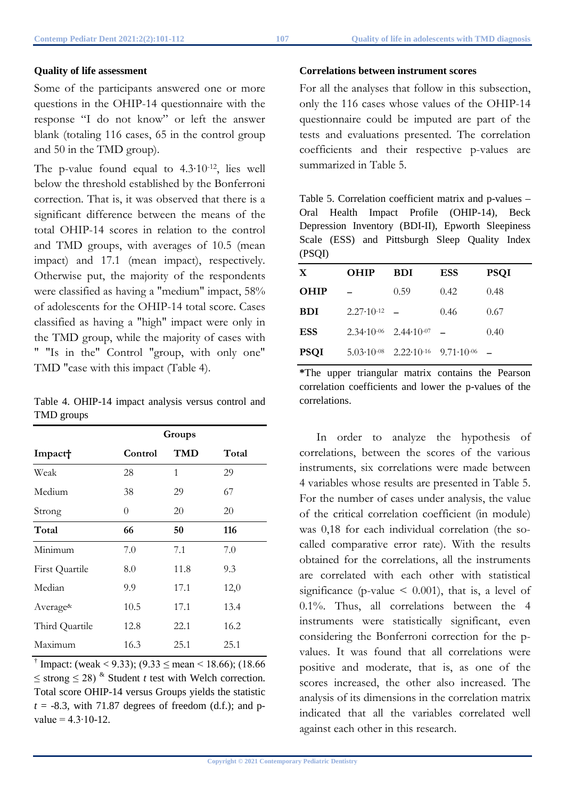### **Quality of life assessment**

Some of the participants answered one or more questions in the OHIP-14 questionnaire with the response "I do not know" or left the answer blank (totaling 116 cases, 65 in the control group and 50 in the TMD group).

The p-value found equal to 4.3∙10-12, lies well below the threshold established by the Bonferroni correction. That is, it was observed that there is a significant difference between the means of the total OHIP-14 scores in relation to the control and TMD groups, with averages of 10.5 (mean impact) and 17.1 (mean impact), respectively. Otherwise put, the majority of the respondents were classified as having a "medium" impact, 58% of adolescents for the OHIP-14 total score. Cases classified as having a "high" impact were only in the TMD group, while the majority of cases with " "Is in the" Control "group, with only one" TMD "case with this impact (Table 4).

Table 4. OHIP-14 impact analysis versus control and TMD groups

|                          | Groups  |      |       |
|--------------------------|---------|------|-------|
| Impact <sup>+</sup>      | Control | TMD  | Total |
| Weak                     | 28      | 1    | 29    |
| Medium                   | 38      | 29   | 67    |
| Strong                   | 0       | 20   | 20    |
| Total                    | 66      | 50   | 116   |
| Minimum                  | 7.0     | 7.1  | 7.0   |
| First Quartile           | 8.0     | 11.8 | 9.3   |
| Median                   | 9.9     | 17.1 | 12,0  |
| Average <sup>&amp;</sup> | 10.5    | 17.1 | 13.4  |
| Third Quartile           | 12.8    | 22.1 | 16.2  |
| Maximum                  | 16.3    | 25.1 | 25.1  |

<sup>†</sup> Impact: (weak < 9.33); (9.33  $\le$  mean < 18.66); (18.66  $\leq$  strong  $\leq$  28)<sup>&</sup> Student *t* test with Welch correction. Total score OHIP-14 versus Groups yields the statistic  $t = -8.3$ , with 71.87 degrees of freedom (d.f.); and pvalue =  $4.3 \cdot 10 - 12$ .

### **Correlations between instrument scores**

For all the analyses that follow in this subsection, only the 116 cases whose values of the OHIP-14 questionnaire could be imputed are part of the tests and evaluations presented. The correlation coefficients and their respective p-values are summarized in Table 5.

Table 5. Correlation coefficient matrix and p-values – Oral Health Impact Profile (OHIP-14), Beck Depression Inventory (BDI-II), Epworth Sleepiness Scale (ESS) and Pittsburgh Sleep Quality Index (PSQI)

| X           | <b>OHIP</b>             | <b>BDI</b>                                                        | <b>ESS</b> | <b>PSQI</b> |
|-------------|-------------------------|-------------------------------------------------------------------|------------|-------------|
| <b>OHIP</b> |                         | 0.59                                                              | 0.42       | 0.48        |
| <b>BDI</b>  | $2.27 \cdot 10^{-12}$ – |                                                                   | 0.46       | 0.67        |
| <b>ESS</b>  |                         | $2.34 \cdot 10^{-06}$ $2.44 \cdot 10^{-07}$ –                     |            | 0.40        |
| <b>PSQI</b> |                         | $5.03 \cdot 10^{-08}$ $2.22 \cdot 10^{-16}$ $9.71 \cdot 10^{-06}$ |            |             |

**\***The upper triangular matrix contains the Pearson correlation coefficients and lower the p-values of the correlations.

In order to analyze the hypothesis of correlations, between the scores of the various instruments, six correlations were made between 4 variables whose results are presented in Table 5. For the number of cases under analysis, the value of the critical correlation coefficient (in module) was 0,18 for each individual correlation (the socalled comparative error rate). With the results obtained for the correlations, all the instruments are correlated with each other with statistical significance (p-value  $\leq$  0.001), that is, a level of 0.1%. Thus, all correlations between the 4 instruments were statistically significant, even considering the Bonferroni correction for the pvalues. It was found that all correlations were positive and moderate, that is, as one of the scores increased, the other also increased. The analysis of its dimensions in the correlation matrix indicated that all the variables correlated well against each other in this research.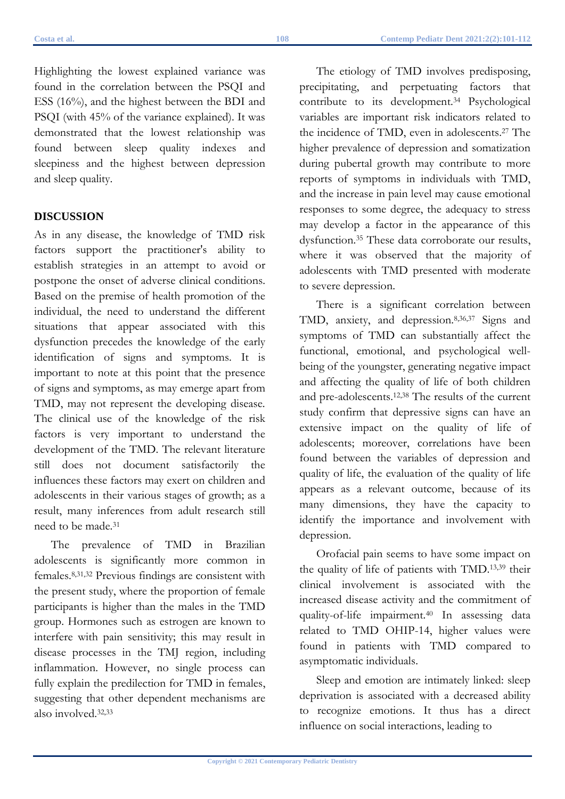Highlighting the lowest explained variance was found in the correlation between the PSQI and ESS (16%), and the highest between the BDI and PSQI (with 45% of the variance explained). It was demonstrated that the lowest relationship was found between sleep quality indexes and sleepiness and the highest between depression and sleep quality.

#### **DISCUSSION**

As in any disease, the knowledge of TMD risk factors support the practitioner's ability to establish strategies in an attempt to avoid or postpone the onset of adverse clinical conditions. Based on the premise of health promotion of the individual, the need to understand the different situations that appear associated with this dysfunction precedes the knowledge of the early identification of signs and symptoms. It is important to note at this point that the presence of signs and symptoms, as may emerge apart from TMD, may not represent the developing disease. The clinical use of the knowledge of the risk factors is very important to understand the development of the TMD. The relevant literature still does not document satisfactorily the influences these factors may exert on children and adolescents in their various stages of growth; as a result, many inferences from adult research still need to be made.31

The prevalence of TMD in Brazilian adolescents is significantly more common in females.8,31,32 Previous findings are consistent with the present study, where the proportion of female participants is higher than the males in the TMD group. Hormones such as estrogen are known to interfere with pain sensitivity; this may result in disease processes in the TMJ region, including inflammation. However, no single process can fully explain the predilection for TMD in females, suggesting that other dependent mechanisms are also involved.32,33

The etiology of TMD involves predisposing, precipitating, and perpetuating factors that contribute to its development.34 Psychological variables are important risk indicators related to the incidence of TMD, even in adolescents.27 The higher prevalence of depression and somatization during pubertal growth may contribute to more reports of symptoms in individuals with TMD, and the increase in pain level may cause emotional responses to some degree, the adequacy to stress may develop a factor in the appearance of this dysfunction.35 These data corroborate our results, where it was observed that the majority of adolescents with TMD presented with moderate to severe depression.

There is a significant correlation between TMD, anxiety, and depression.8,36,37 Signs and symptoms of TMD can substantially affect the functional, emotional, and psychological wellbeing of the youngster, generating negative impact and affecting the quality of life of both children and pre-adolescents.12,38 The results of the current study confirm that depressive signs can have an extensive impact on the quality of life of adolescents; moreover, correlations have been found between the variables of depression and quality of life, the evaluation of the quality of life appears as a relevant outcome, because of its many dimensions, they have the capacity to identify the importance and involvement with depression.

Orofacial pain seems to have some impact on the quality of life of patients with TMD.13,39 their clinical involvement is associated with the increased disease activity and the commitment of quality-of-life impairment.40 In assessing data related to TMD OHIP-14, higher values were found in patients with TMD compared to asymptomatic individuals.

Sleep and emotion are intimately linked: sleep deprivation is associated with a decreased ability to recognize emotions. It thus has a direct influence on social interactions, leading to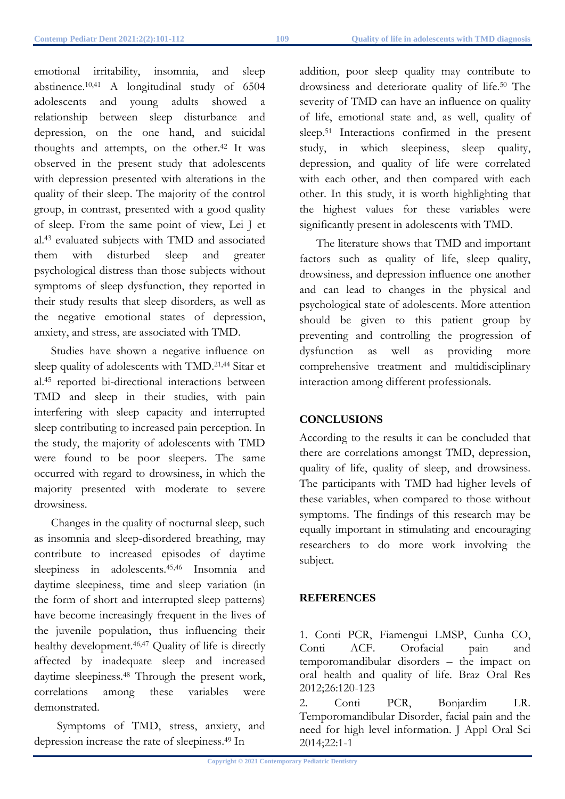emotional irritability, insomnia, and sleep abstinence.10,41 A longitudinal study of 6504 adolescents and young adults showed a relationship between sleep disturbance and depression, on the one hand, and suicidal thoughts and attempts, on the other.42 It was observed in the present study that adolescents with depression presented with alterations in the quality of their sleep. The majority of the control group, in contrast, presented with a good quality of sleep. From the same point of view, Lei J et al.43 evaluated subjects with TMD and associated them with disturbed sleep and greater psychological distress than those subjects without symptoms of sleep dysfunction, they reported in their study results that sleep disorders, as well as the negative emotional states of depression, anxiety, and stress, are associated with TMD.

Studies have shown a negative influence on sleep quality of adolescents with TMD.21,44 Sitar et al.45 reported bi-directional interactions between TMD and sleep in their studies, with pain interfering with sleep capacity and interrupted sleep contributing to increased pain perception. In the study, the majority of adolescents with TMD were found to be poor sleepers. The same occurred with regard to drowsiness, in which the majority presented with moderate to severe drowsiness.

Changes in the quality of nocturnal sleep, such as insomnia and sleep-disordered breathing, may contribute to increased episodes of daytime sleepiness in adolescents.45,46 Insomnia and daytime sleepiness, time and sleep variation (in the form of short and interrupted sleep patterns) have become increasingly frequent in the lives of the juvenile population, thus influencing their healthy development.46,47 Quality of life is directly affected by inadequate sleep and increased daytime sleepiness.48 Through the present work, correlations among these variables were demonstrated.

 Symptoms of TMD, stress, anxiety, and depression increase the rate of sleepiness.49 In

addition, poor sleep quality may contribute to drowsiness and deteriorate quality of life.50 The severity of TMD can have an influence on quality of life, emotional state and, as well, quality of sleep.51 Interactions confirmed in the present study, in which sleepiness, sleep quality, depression, and quality of life were correlated with each other, and then compared with each other. In this study, it is worth highlighting that the highest values for these variables were significantly present in adolescents with TMD.

The literature shows that TMD and important factors such as quality of life, sleep quality, drowsiness, and depression influence one another and can lead to changes in the physical and psychological state of adolescents. More attention should be given to this patient group by preventing and controlling the progression of dysfunction as well as providing more comprehensive treatment and multidisciplinary interaction among different professionals.

# **CONCLUSIONS**

According to the results it can be concluded that there are correlations amongst TMD, depression, quality of life, quality of sleep, and drowsiness. The participants with TMD had higher levels of these variables, when compared to those without symptoms. The findings of this research may be equally important in stimulating and encouraging researchers to do more work involving the subject.

# **REFERENCES**

1. Conti PCR, Fiamengui LMSP, Cunha CO, Conti ACF. Orofacial pain and temporomandibular disorders – the impact on oral health and quality of life. Braz Oral Res 2012;26:120-123

2. Conti PCR, Bonjardim LR. Temporomandibular Disorder, facial pain and the need for high level information. J Appl Oral Sci 2014;22:1-1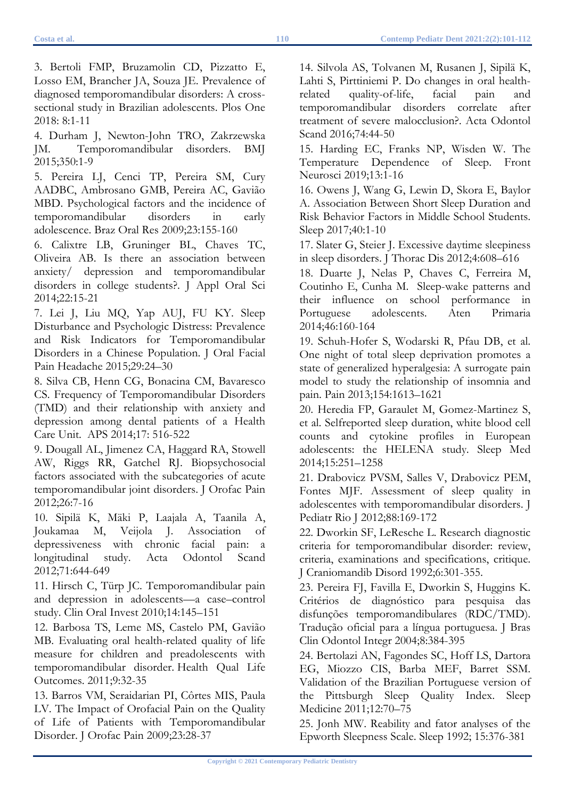3. Bertoli FMP, Bruzamolin CD, Pizzatto E, Losso EM, Brancher JA, Souza JE. Prevalence of diagnosed temporomandibular disorders: A crosssectional study in Brazilian adolescents. Plos One 2018: 8:1-11

4. Durham J, Newton-John TRO, Zakrzewska JM. Temporomandibular disorders. BMJ 2015;350:1-9

5. Pereira LJ, Cenci TP, Pereira SM, Cury AADBC, Ambrosano GMB, Pereira AC, Gavião MBD. Psychological factors and the incidence of temporomandibular disorders in early adolescence. Braz Oral Res 2009;23:155-160

6. Calixtre LB, Gruninger BL, Chaves TC, Oliveira AB. Is there an association between anxiety/ depression and temporomandibular disorders in college students?. J Appl Oral Sci 2014;22:15-21

7. Lei J, Liu MQ, Yap AUJ, FU KY. Sleep Disturbance and Psychologic Distress: Prevalence and Risk Indicators for Temporomandibular Disorders in a Chinese Population. J Oral Facial Pain Headache 2015;29:24–30

8. Silva CB, Henn CG, Bonacina CM, Bavaresco CS. Frequency of Temporomandibular Disorders (TMD) and their relationship with anxiety and depression among dental patients of a Health Care Unit. APS 2014;17: 516-522

9. Dougall AL, Jimenez CA, Haggard RA, Stowell AW, Riggs RR, Gatchel RJ. Biopsychosocial factors associated with the subcategories of acute temporomandibular joint disorders. J Orofac Pain 2012;26:7-16

10. Sipilä K, Mäki P, Laajala A, Taanila A, Joukamaa M, Veijola J. Association of depressiveness with chronic facial pain: a longitudinal study. Acta Odontol Scand 2012;71:644-649

11. Hirsch C, Türp JC. Temporomandibular pain and depression in adolescents—a case–control study. Clin Oral Invest 2010;14:145–151

12. Barbosa TS, Leme MS, Castelo PM, Gavião MB. Evaluating oral health-related quality of life measure for children and preadolescents with temporomandibular disorder. Health Qual Life Outcomes. 2011;9:32-35

13. Barros VM, Seraidarian PI, Côrtes MIS, Paula LV. The Impact of Orofacial Pain on the Quality of Life of Patients with Temporomandibular Disorder. J Orofac Pain 2009;23:28-37

14. Silvola AS, Tolvanen M, Rusanen J, Sipilä K, Lahti S, Pirttiniemi P. Do changes in oral healthrelated quality-of-life, facial pain and temporomandibular disorders correlate after treatment of severe malocclusion?. Acta Odontol Scand 2016;74:44-50

15. Harding EC, Franks NP, Wisden W. The Temperature Dependence of Sleep. Front Neurosci 2019;13:1-16

16. Owens J, Wang G, Lewin D, Skora E, Baylor A. Association Between Short Sleep Duration and Risk Behavior Factors in Middle School Students. Sleep 2017;40:1-10

17. Slater G, Steier J. Excessive daytime sleepiness in sleep disorders. J Thorac Dis 2012;4:608–616

18. Duarte J, Nelas P, Chaves C, Ferreira M, Coutinho E, Cunha M. Sleep-wake patterns and their influence on school performance in Portuguese adolescents. Aten Primaria 2014;46:160-164

19. Schuh-Hofer S, Wodarski R, Pfau DB, et al. One night of total sleep deprivation promotes a state of generalized hyperalgesia: A surrogate pain model to study the relationship of insomnia and pain. Pain 2013;154:1613–1621

20. Heredia FP, Garaulet M, Gomez-Martinez S, et al. Selfreported sleep duration, white blood cell counts and cytokine profiles in European adolescents: the HELENA study. Sleep Med 2014;15:251–1258

21. Drabovicz PVSM, Salles V, Drabovicz PEM, Fontes MJF. Assessment of sleep quality in adolescentes with temporomandibular disorders. J Pediatr Rio J 2012;88:169-172

22. Dworkin SF, LeResche L. Research diagnostic criteria for temporomandibular disorder: review, criteria, examinations and specifications, critique. J Craniomandib Disord 1992;6:301-355.

23. Pereira FJ, Favilla E, Dworkin S, Huggins K. Critérios de diagnóstico para pesquisa das disfunções temporomandibulares (RDC/TMD). Tradução oficial para a língua portuguesa. J Bras Clin Odontol Integr 2004;8:384-395

24. Bertolazi AN, Fagondes SC, Hoff LS, Dartora EG, Miozzo CIS, Barba MEF, Barret SSM. Validation of the Brazilian Portuguese version of the Pittsburgh Sleep Quality Index. Sleep Medicine 2011;12:70–75

25. Jonh MW. Reability and fator analyses of the Epworth Sleepness Scale. Sleep 1992; 15:376-381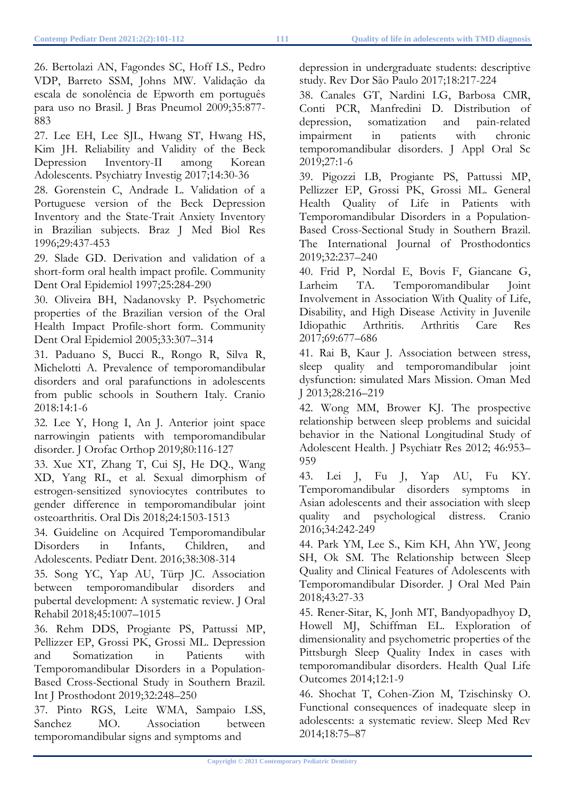26. Bertolazi AN, Fagondes SC, Hoff LS., Pedro VDP, Barreto SSM, Johns MW. Validação da escala de sonolência de Epworth em português para uso no Brasil. J Bras Pneumol 2009;35:877- 883

27. Lee EH, Lee SJL, Hwang ST, Hwang HS, Kim JH. Reliability and Validity of the Beck Depression Inventory-II among Korean Adolescents. Psychiatry Investig 2017;14:30-36

28. Gorenstein C, Andrade L. Validation of a Portuguese version of the Beck Depression Inventory and the State-Trait Anxiety Inventory in Brazilian subjects. Braz J Med Biol Res 1996;29:437-453

29. Slade GD. Derivation and validation of a short-form oral health impact profile. Community Dent Oral Epidemiol 1997;25:284-290

30. Oliveira BH, Nadanovsky P. Psychometric properties of the Brazilian version of the Oral Health Impact Profile-short form. Community Dent Oral Epidemiol 2005;33:307–314

31. Paduano S, Bucci R., Rongo R, Silva R, Michelotti A. Prevalence of temporomandibular disorders and oral parafunctions in adolescents from public schools in Southern Italy. Cranio 2018:14:1-6

32. Lee Y, Hong I, An J. Anterior joint space narrowingin patients with temporomandibular disorder. J Orofac Orthop 2019;80:116-127

33. Xue XT, Zhang T, Cui SJ, He DQ., Wang XD, Yang RL, et al. Sexual dimorphism of estrogen-sensitized synoviocytes contributes to gender difference in temporomandibular joint osteoarthritis. Oral Dis 2018;24:1503-1513

34. Guideline on Acquired Temporomandibular Disorders in Infants, Children, and Adolescents. Pediatr Dent. 2016;38:308-314

35. Song YC, Yap AU, Türp JC. Association between temporomandibular disorders and pubertal development: A systematic review. J Oral Rehabil 2018;45:1007–1015

36. Rehm DDS, Progiante PS, Pattussi MP, Pellizzer EP, Grossi PK, Grossi ML. Depression and Somatization in Patients with Temporomandibular Disorders in a Population-Based Cross-Sectional Study in Southern Brazil. Int J Prosthodont 2019;32:248–250

37. Pinto RGS, Leite WMA, Sampaio LSS, Sanchez MO. Association between temporomandibular signs and symptoms and

depression in undergraduate students: descriptive study. Rev Dor São Paulo 2017;18:217-224

38. Canales GT, Nardini LG, Barbosa CMR, Conti PCR, Manfredini D. Distribution of depression, somatization and pain-related impairment in patients with chronic temporomandibular disorders. J Appl Oral Sc 2019;27:1-6

39. Pigozzi LB, Progiante PS, Pattussi MP, Pellizzer EP, Grossi PK, Grossi ML. General Health Quality of Life in Patients with Temporomandibular Disorders in a Population-Based Cross-Sectional Study in Southern Brazil. The International Journal of Prosthodontics 2019;32:237–240

40. Frid P, Nordal E, Bovis F, Giancane G, Larheim TA. Temporomandibular Joint Involvement in Association With Quality of Life, Disability, and High Disease Activity in Juvenile Idiopathic Arthritis. Arthritis Care Res 2017;69:677–686

41. Rai B, Kaur J. Association between stress, sleep quality and temporomandibular joint dysfunction: simulated Mars Mission. Oman Med J 2013;28:216–219

42. Wong MM, Brower KJ. The prospective relationship between sleep problems and suicidal behavior in the National Longitudinal Study of Adolescent Health. J Psychiatr Res 2012; 46:953– 959

43. Lei J, Fu J, Yap AU, Fu KY. Temporomandibular disorders symptoms in Asian adolescents and their association with sleep quality and psychological distress. Cranio 2016;34:242-249

44. Park YM, Lee S., Kim KH, Ahn YW, Jeong SH, Ok SM. The Relationship between Sleep Quality and Clinical Features of Adolescents with Temporomandibular Disorder. J Oral Med Pain 2018;43:27-33

45. Rener-Sitar, K, Jonh MT, Bandyopadhyoy D, Howell MJ, Schiffman EL. Exploration of dimensionality and psychometric properties of the Pittsburgh Sleep Quality Index in cases with temporomandibular disorders. Health Qual Life Outcomes 2014;12:1-9

46. Shochat T, Cohen-Zion M, Tzischinsky O. Functional consequences of inadequate sleep in adolescents: a systematic review. Sleep Med Rev 2014;18:75–87